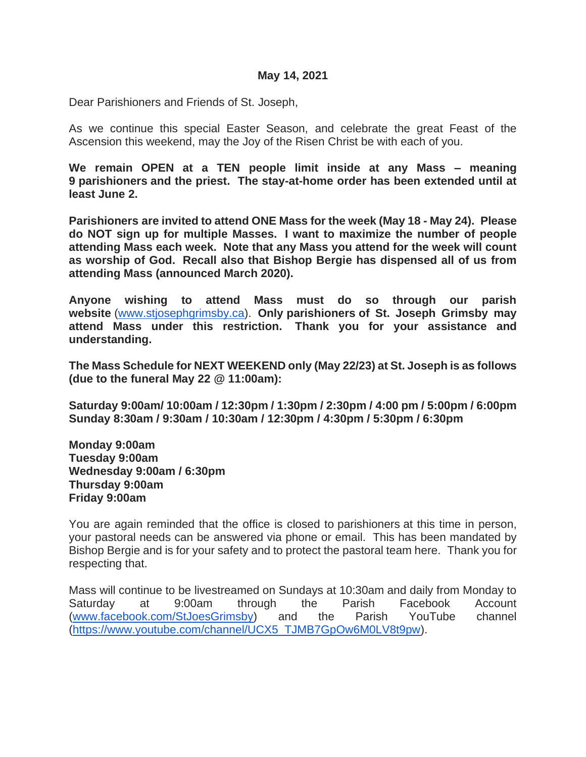#### **May 14, 2021**

Dear Parishioners and Friends of St. Joseph,

As we continue this special Easter Season, and celebrate the great Feast of the Ascension this weekend, may the Joy of the Risen Christ be with each of you.

**We remain OPEN at a TEN people limit inside at any Mass – meaning 9 parishioners and the priest. The stay-at-home order has been extended until at least June 2.** 

**Parishioners are invited to attend ONE Mass for the week (May 18 - May 24). Please do NOT sign up for multiple Masses. I want to maximize the number of people attending Mass each week. Note that any Mass you attend for the week will count as worship of God. Recall also that Bishop Bergie has dispensed all of us from attending Mass (announced March 2020).** 

**Anyone wishing to attend Mass must do so through our parish website** [\(www.stjosephgrimsby.ca\)](http://www.stjosephgrimsby.ca/). **Only parishioners of St. Joseph Grimsby may attend Mass under this restriction. Thank you for your assistance and understanding.** 

**The Mass Schedule for NEXT WEEKEND only (May 22/23) at St. Joseph is as follows (due to the funeral May 22 @ 11:00am):**

**Saturday 9:00am/ 10:00am / 12:30pm / 1:30pm / 2:30pm / 4:00 pm / 5:00pm / 6:00pm Sunday 8:30am / 9:30am / 10:30am / 12:30pm / 4:30pm / 5:30pm / 6:30pm**

**Monday 9:00am Tuesday 9:00am Wednesday 9:00am / 6:30pm Thursday 9:00am Friday 9:00am**

You are again reminded that the office is closed to parishioners at this time in person, your pastoral needs can be answered via phone or email. This has been mandated by Bishop Bergie and is for your safety and to protect the pastoral team here. Thank you for respecting that.

Mass will continue to be livestreamed on Sundays at 10:30am and daily from Monday to Saturday at 9:00am through the Parish Facebook Account [\(www.facebook.com/StJoesGrimsby\)](http://www.facebook.com/StJoesGrimsby) and the Parish YouTube channel [\(https://www.youtube.com/channel/UCX5\\_TJMB7GpOw6M0LV8t9pw\)](https://www.youtube.com/channel/UCX5_TJMB7GpOw6M0LV8t9pw).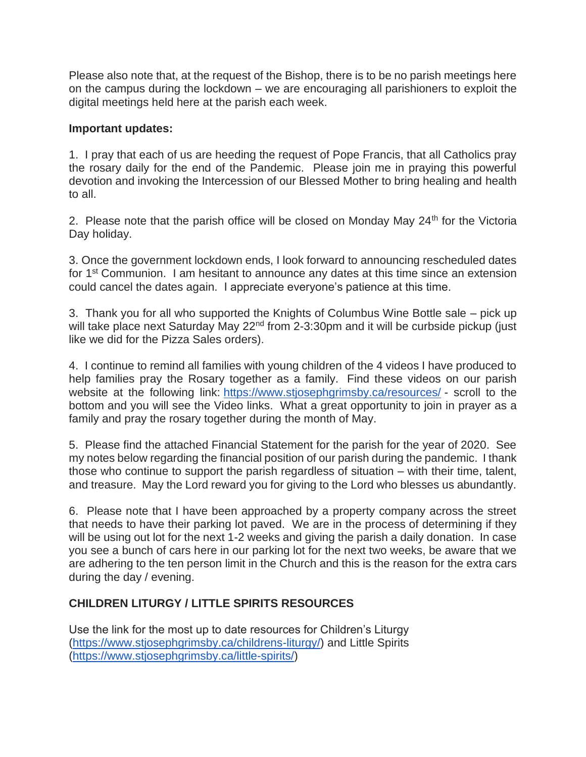Please also note that, at the request of the Bishop, there is to be no parish meetings here on the campus during the lockdown – we are encouraging all parishioners to exploit the digital meetings held here at the parish each week.

### **Important updates:**

1. I pray that each of us are heeding the request of Pope Francis, that all Catholics pray the rosary daily for the end of the Pandemic. Please join me in praying this powerful devotion and invoking the Intercession of our Blessed Mother to bring healing and health to all.

2. Please note that the parish office will be closed on Monday May  $24<sup>th</sup>$  for the Victoria Day holiday.

3. Once the government lockdown ends, I look forward to announcing rescheduled dates for 1<sup>st</sup> Communion. I am hesitant to announce any dates at this time since an extension could cancel the dates again. I appreciate everyone's patience at this time.

3. Thank you for all who supported the Knights of Columbus Wine Bottle sale – pick up will take place next Saturday May 22<sup>nd</sup> from 2-3:30pm and it will be curbside pickup (just like we did for the Pizza Sales orders).

4. I continue to remind all families with young children of the 4 videos I have produced to help families pray the Rosary together as a family. Find these videos on our parish website at the following link: <https://www.stjosephgrimsby.ca/resources/> - scroll to the bottom and you will see the Video links. What a great opportunity to join in prayer as a family and pray the rosary together during the month of May.

5. Please find the attached Financial Statement for the parish for the year of 2020. See my notes below regarding the financial position of our parish during the pandemic. I thank those who continue to support the parish regardless of situation – with their time, talent, and treasure. May the Lord reward you for giving to the Lord who blesses us abundantly.

6. Please note that I have been approached by a property company across the street that needs to have their parking lot paved. We are in the process of determining if they will be using out lot for the next 1-2 weeks and giving the parish a daily donation. In case you see a bunch of cars here in our parking lot for the next two weeks, be aware that we are adhering to the ten person limit in the Church and this is the reason for the extra cars during the day / evening.

# **CHILDREN LITURGY / LITTLE SPIRITS RESOURCES**

Use the link for the most up to date resources for Children's Liturgy [\(https://www.stjosephgrimsby.ca/childrens-liturgy/\)](https://www.stjosephgrimsby.ca/childrens-liturgy/) and Little Spirits [\(https://www.stjosephgrimsby.ca/little-spirits/\)](https://www.stjosephgrimsby.ca/little-spirits/)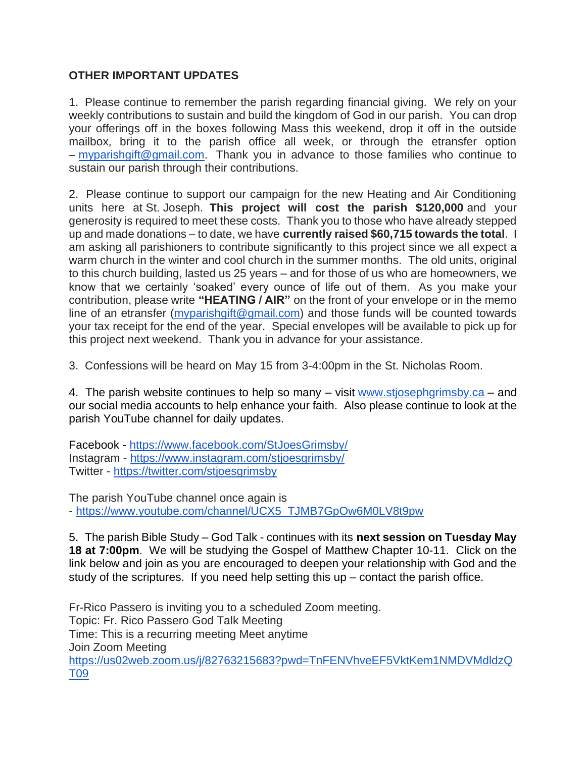# **OTHER IMPORTANT UPDATES**

1. Please continue to remember the parish regarding financial giving. We rely on your weekly contributions to sustain and build the kingdom of God in our parish. You can drop your offerings off in the boxes following Mass this weekend, drop it off in the outside mailbox, bring it to the parish office all week, or through the etransfer option – [myparishgift@gmail.com.](mailto:myparishgift@gmail.com) Thank you in advance to those families who continue to sustain our parish through their contributions.

2. Please continue to support our campaign for the new Heating and Air Conditioning units here at St. Joseph. **This project will cost the parish \$120,000** and your generosity is required to meet these costs. Thank you to those who have already stepped up and made donations – to date, we have **currently raised \$60,715 towards the total**. I am asking all parishioners to contribute significantly to this project since we all expect a warm church in the winter and cool church in the summer months. The old units, original to this church building, lasted us 25 years – and for those of us who are homeowners, we know that we certainly 'soaked' every ounce of life out of them. As you make your contribution, please write **"HEATING / AIR"** on the front of your envelope or in the memo line of an etransfer (*myparishgift@gmail.com*) and those funds will be counted towards your tax receipt for the end of the year. Special envelopes will be available to pick up for this project next weekend. Thank you in advance for your assistance.

3. Confessions will be heard on May 15 from 3-4:00pm in the St. Nicholas Room.

4. The parish website continues to help so many – visit [www.stjosephgrimsby.ca](http://www.stjosephgrimsby.ca/) – and our social media accounts to help enhance your faith. Also please continue to look at the parish YouTube channel for daily updates.

Facebook - <https://www.facebook.com/StJoesGrimsby/> Instagram - <https://www.instagram.com/stjoesgrimsby/> Twitter - <https://twitter.com/stjoesgrimsby>

The parish YouTube channel once again is - [https://www.youtube.com/channel/UCX5\\_TJMB7GpOw6M0LV8t9pw](https://www.youtube.com/channel/UCX5_TJMB7GpOw6M0LV8t9pw)

5. The parish Bible Study – God Talk - continues with its **next session on Tuesday May 18 at 7:00pm**. We will be studying the Gospel of Matthew Chapter 10-11. Click on the link below and join as you are encouraged to deepen your relationship with God and the study of the scriptures. If you need help setting this  $up$  – contact the parish office.

Fr-Rico Passero is inviting you to a scheduled Zoom meeting. Topic: Fr. Rico Passero God Talk Meeting Time: This is a recurring meeting Meet anytime Join Zoom Meeting [https://us02web.zoom.us/j/82763215683?pwd=TnFENVhveEF5VktKem1NMDVMdldzQ](https://us02web.zoom.us/j/82763215683?pwd=TnFENVhveEF5VktKem1NMDVMdldzQT09) [T09](https://us02web.zoom.us/j/82763215683?pwd=TnFENVhveEF5VktKem1NMDVMdldzQT09)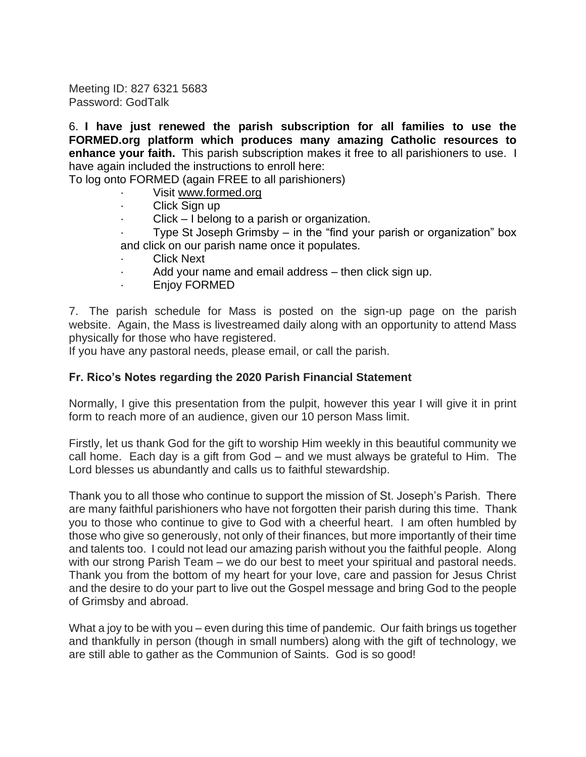Meeting ID: 827 6321 5683 Password: GodTalk

6. **I have just renewed the parish subscription for all families to use the FORMED.org platform which produces many amazing Catholic resources to enhance your faith.** This parish subscription makes it free to all parishioners to use. I have again included the instructions to enroll here:

To log onto FORMED (again FREE to all parishioners)

- Visit [www.formed.org](http://www.formed.org/)
- Click Sign up
- $Click I belong to a parish or organization.$

Type St Joseph Grimsby  $-$  in the "find your parish or organization" box and click on our parish name once it populates.

- **Click Next**
- Add your name and email address then click sign up.
- · Enjoy FORMED

7. The parish schedule for Mass is posted on the sign-up page on the parish website. Again, the Mass is livestreamed daily along with an opportunity to attend Mass physically for those who have registered.

If you have any pastoral needs, please email, or call the parish.

#### **Fr. Rico's Notes regarding the 2020 Parish Financial Statement**

Normally, I give this presentation from the pulpit, however this year I will give it in print form to reach more of an audience, given our 10 person Mass limit.

Firstly, let us thank God for the gift to worship Him weekly in this beautiful community we call home. Each day is a gift from God – and we must always be grateful to Him. The Lord blesses us abundantly and calls us to faithful stewardship.

Thank you to all those who continue to support the mission of St. Joseph's Parish. There are many faithful parishioners who have not forgotten their parish during this time. Thank you to those who continue to give to God with a cheerful heart. I am often humbled by those who give so generously, not only of their finances, but more importantly of their time and talents too. I could not lead our amazing parish without you the faithful people. Along with our strong Parish Team – we do our best to meet your spiritual and pastoral needs. Thank you from the bottom of my heart for your love, care and passion for Jesus Christ and the desire to do your part to live out the Gospel message and bring God to the people of Grimsby and abroad.

What a joy to be with you – even during this time of pandemic. Our faith brings us together and thankfully in person (though in small numbers) along with the gift of technology, we are still able to gather as the Communion of Saints. God is so good!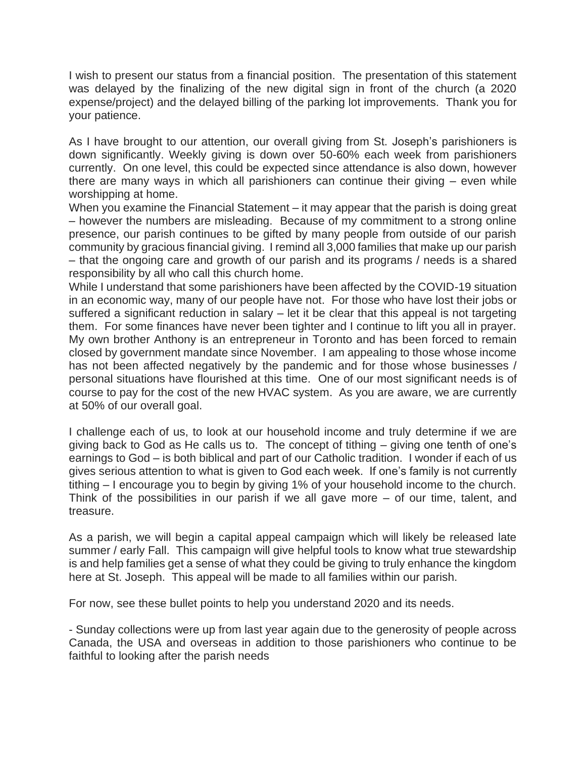I wish to present our status from a financial position. The presentation of this statement was delayed by the finalizing of the new digital sign in front of the church (a 2020 expense/project) and the delayed billing of the parking lot improvements. Thank you for your patience.

As I have brought to our attention, our overall giving from St. Joseph's parishioners is down significantly. Weekly giving is down over 50-60% each week from parishioners currently. On one level, this could be expected since attendance is also down, however there are many ways in which all parishioners can continue their giving – even while worshipping at home.

When you examine the Financial Statement – it may appear that the parish is doing great – however the numbers are misleading. Because of my commitment to a strong online presence, our parish continues to be gifted by many people from outside of our parish community by gracious financial giving. I remind all 3,000 families that make up our parish – that the ongoing care and growth of our parish and its programs / needs is a shared responsibility by all who call this church home.

While I understand that some parishioners have been affected by the COVID-19 situation in an economic way, many of our people have not. For those who have lost their jobs or suffered a significant reduction in salary – let it be clear that this appeal is not targeting them. For some finances have never been tighter and I continue to lift you all in prayer. My own brother Anthony is an entrepreneur in Toronto and has been forced to remain closed by government mandate since November. I am appealing to those whose income has not been affected negatively by the pandemic and for those whose businesses / personal situations have flourished at this time. One of our most significant needs is of course to pay for the cost of the new HVAC system. As you are aware, we are currently at 50% of our overall goal.

I challenge each of us, to look at our household income and truly determine if we are giving back to God as He calls us to. The concept of tithing – giving one tenth of one's earnings to God – is both biblical and part of our Catholic tradition. I wonder if each of us gives serious attention to what is given to God each week. If one's family is not currently tithing – I encourage you to begin by giving 1% of your household income to the church. Think of the possibilities in our parish if we all gave more – of our time, talent, and treasure.

As a parish, we will begin a capital appeal campaign which will likely be released late summer / early Fall. This campaign will give helpful tools to know what true stewardship is and help families get a sense of what they could be giving to truly enhance the kingdom here at St. Joseph. This appeal will be made to all families within our parish.

For now, see these bullet points to help you understand 2020 and its needs.

- Sunday collections were up from last year again due to the generosity of people across Canada, the USA and overseas in addition to those parishioners who continue to be faithful to looking after the parish needs